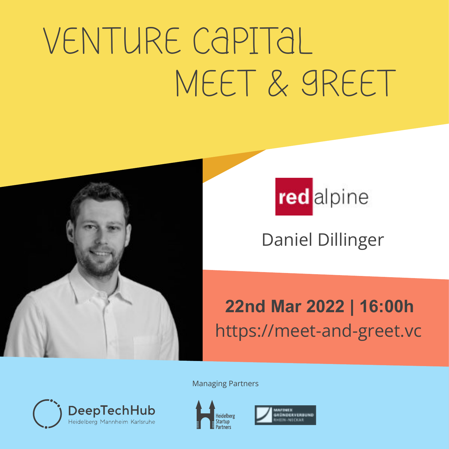# Meet & Greet Venture Capital





Daniel Dillinger

### **22nd Mar 2022 | 16:00h** https://meet-and-greet.vc

Managing Partners





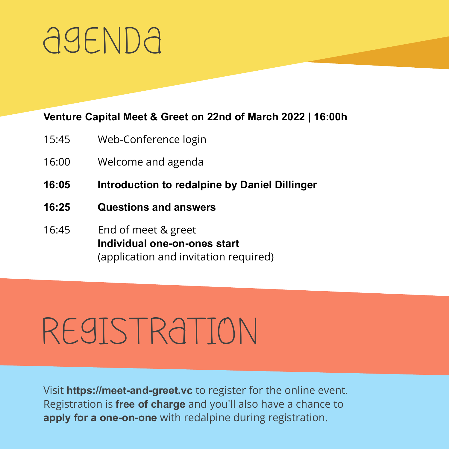### AGENDA

#### **Venture Capital Meet & Greet on 22nd of March 2022 | 16:00h**

- 15:45 Web-Conference login
- 16:00 Welcome and agenda
- **16:05 Introduction to redalpine by Daniel Dillinger**
- **16:25 Questions and answers**
- 16:45 End of meet & greet **Individual one-on-ones start** (application and invitation required)

### Registration

Visit **https://meet-and-greet.vc** to register for the online event. Registration is **free of charge** and you'll also have a chance to **apply for a one-on-one** with redalpine during registration.